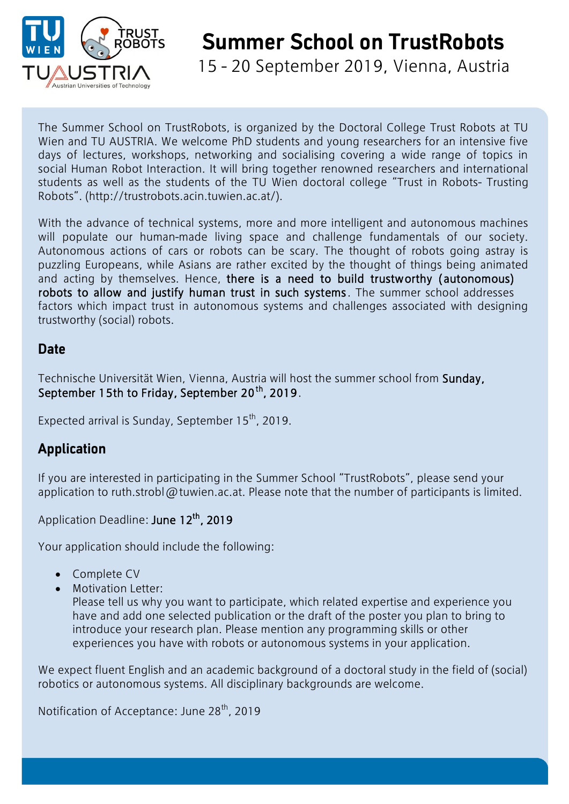

15 - 20 September 2019, Vienna, Austria

The Summer School on TrustRobots, is organized by the Doctoral College Trust Robots at TU Wien and TU AUSTRIA. We welcome PhD students and young researchers for an intensive five days of lectures, workshops, networking and socialising covering a wide range of topics in social Human Robot Interaction. It will bring together renowned researchers and international students as well as the students of the TU Wien doctoral college "Trust in Robots- Trusting Robots". (http://trustrobots.acin.tuwien.ac.at/).

With the advance of technical systems, more and more intelligent and autonomous machines will populate our human-made living space and challenge fundamentals of our society. Autonomous actions of cars or robots can be scary. The thought of robots going astray is puzzling Europeans, while Asians are rather excited by the thought of things being animated and acting by themselves. Hence, there is a need to build trustworthy (autonomous) robots to allow and justify human trust in such systems. The summer school addresses factors which impact trust in autonomous systems and challenges associated with designing trustworthy (social) robots.

## **Date**

Technische Universität Wien, Vienna, Austria will host the summer school from Sunday, September 15th to Friday, September 20<sup>th</sup>, 2019.

Expected arrival is Sunday, September 15<sup>th</sup>, 2019.

## **Application**

If you are interested in participating in the Summer School "TrustRobots", please send your application to ruth.strobl@tuwien.ac.at. Please note that the number of participants is limited.

Application Deadline: June 12<sup>th</sup>, 2019

Your application should include the following:

- Complete CV
- Motivation Letter:

Please tell us why you want to participate, which related expertise and experience you have and add one selected publication or the draft of the poster you plan to bring to introduce your research plan. Please mention any programming skills or other experiences you have with robots or autonomous systems in your application.

We expect fluent English and an academic background of a doctoral study in the field of (social) robotics or autonomous systems. All disciplinary backgrounds are welcome.

Notification of Acceptance: June 28<sup>th</sup>, 2019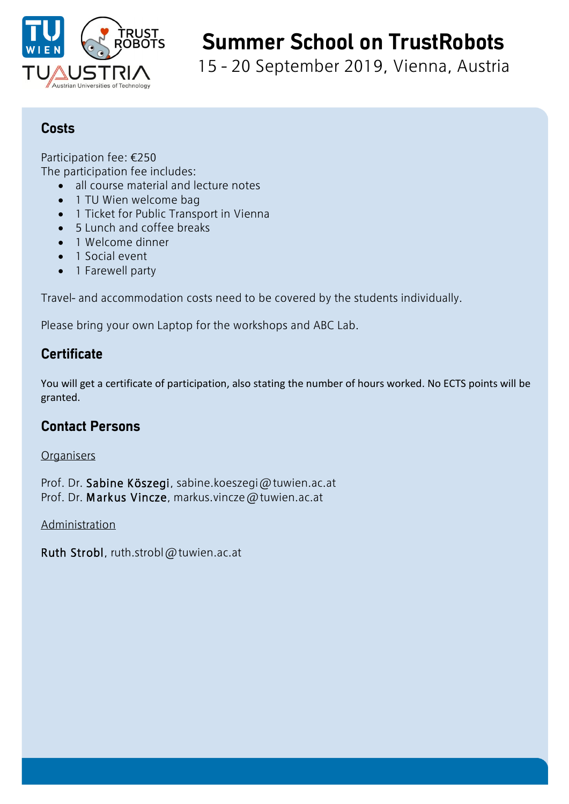

15 - 20 September 2019, Vienna, Austria

### **Costs**

Participation fee: €250 The participation fee includes:

- all course material and lecture notes
- 1 TU Wien welcome bag
- 1 Ticket for Public Transport in Vienna
- 5 Lunch and coffee breaks
- 1 Welcome dinner
- 1 Social event
- 1 Farewell party

Travel- and accommodation costs need to be covered by the students individually.

Please bring your own Laptop for the workshops and ABC Lab.

## **Certificate**

You will get a certificate of participation, also stating the number of hours worked. No ECTS points will be granted.

### **Contact Persons**

#### **Organisers**

Prof. Dr. Sabine Köszegi, sabine.koeszegi@tuwien.ac.at Prof. Dr. Markus Vincze, markus.vincze@tuwien.ac.at

Administration

Ruth Strobl, ruth.strobl@tuwien.ac.at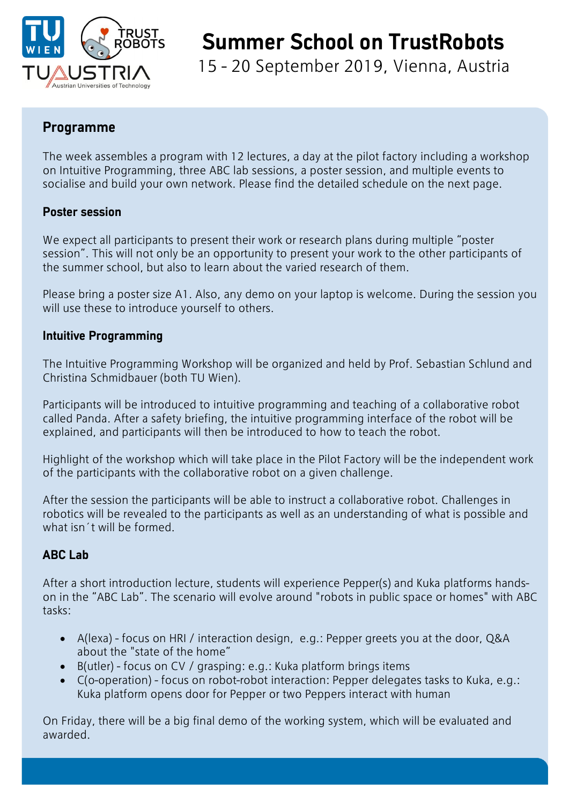

15 - 20 September 2019, Vienna, Austria

### **Programme**

The week assembles a program with 12 lectures, a day at the pilot factory including a workshop on Intuitive Programming, three ABC lab sessions, a poster session, and multiple events to socialise and build your own network. Please find the detailed schedule on the next page.

#### **Poster session**

We expect all participants to present their work or research plans during multiple "poster session". This will not only be an opportunity to present your work to the other participants of the summer school, but also to learn about the varied research of them.

Please bring a poster size A1. Also, any demo on your laptop is welcome. During the session you will use these to introduce yourself to others.

#### **Intuitive Programming**

The Intuitive Programming Workshop will be organized and held by Prof. Sebastian Schlund and Christina Schmidbauer (both TU Wien).

Participants will be introduced to intuitive programming and teaching of a collaborative robot called Panda. After a safety briefing, the intuitive programming interface of the robot will be explained, and participants will then be introduced to how to teach the robot.

Highlight of the workshop which will take place in the Pilot Factory will be the independent work of the participants with the collaborative robot on a given challenge.

After the session the participants will be able to instruct a collaborative robot. Challenges in robotics will be revealed to the participants as well as an understanding of what is possible and what isn´t will be formed.

### **ABC Lab**

After a short introduction lecture, students will experience Pepper(s) and Kuka platforms handson in the "ABC Lab". The scenario will evolve around "robots in public space or homes" with ABC tasks:

- A(lexa) focus on HRI / interaction design, e.g.: Pepper greets you at the door, Q&A about the "state of the home"
- B(utler) focus on CV / grasping: e.g.: Kuka platform brings items
- C(o-operation) focus on robot-robot interaction: Pepper delegates tasks to Kuka, e.g.: Kuka platform opens door for Pepper or two Peppers interact with human

On Friday, there will be a big final demo of the working system, which will be evaluated and awarded.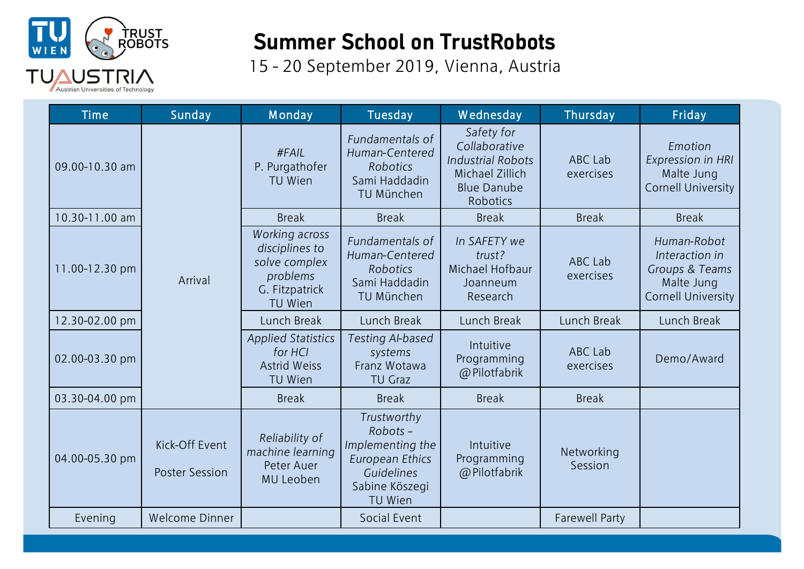

15 - 20 September 2019, Vienna, Austria

| <b>Time</b>    | Sunday                                  | Monday                                                                                     | Tuesday                                                                                                         | <b>Wednesday</b>                                                                                             | Thursday              | Friday                                                                                     |
|----------------|-----------------------------------------|--------------------------------------------------------------------------------------------|-----------------------------------------------------------------------------------------------------------------|--------------------------------------------------------------------------------------------------------------|-----------------------|--------------------------------------------------------------------------------------------|
| 09.00-10.30 am | Arrival                                 | #FAIL<br>P. Purgathofer<br>TU Wien                                                         | Fundamentals of<br>Human-Centered<br><b>Robotics</b><br>Sami Haddadin<br>TU München                             | Safety for<br>Collaborative<br><b>Industrial Robots</b><br>Michael Zillich<br><b>Blue Danube</b><br>Robotics | ABC Lab<br>exercises  | Emotion<br>Expression in HRI<br>Malte Jung<br><b>Cornell University</b>                    |
| 10.30-11.00 am |                                         | <b>Break</b>                                                                               | <b>Break</b>                                                                                                    | <b>Break</b>                                                                                                 | <b>Break</b>          | <b>Break</b>                                                                               |
| 11.00-12.30 pm |                                         | Working across<br>disciplines to<br>solve complex<br>problems<br>G. Fitzpatrick<br>TU Wien | Fundamentals of<br>Human-Centered<br>Robotics<br>Sami Haddadin<br>TU München                                    | In SAFETY we<br>trust?<br>Michael Hofbaur<br>Joanneum<br>Research                                            | ABC Lab<br>exercises  | Human-Robot<br>Interaction in<br>Groups & Teams<br>Malte Jung<br><b>Cornell University</b> |
| 12.30-02.00 pm |                                         | Lunch Break                                                                                | Lunch Break                                                                                                     | Lunch Break                                                                                                  | Lunch Break           | Lunch Break                                                                                |
| 02.00-03.30 pm |                                         | <b>Applied Statistics</b><br>for HCI<br><b>Astrid Weiss</b><br>TU Wien                     | Testing Al-based<br>systems<br>Franz Wotawa<br><b>TU Graz</b>                                                   | Intuitive<br>Programming<br>@ Pilotfabrik                                                                    | ABC Lab<br>exercises  | Demo/Award                                                                                 |
| 03.30-04.00 pm |                                         | <b>Break</b>                                                                               | <b>Break</b>                                                                                                    | <b>Break</b>                                                                                                 | <b>Break</b>          |                                                                                            |
| 04.00-05.30 pm | Kick-Off Event<br><b>Poster Session</b> | Reliability of<br>machine learning<br>Peter Auer<br>MU Leoben                              | Trustworthy<br>Robots-<br>Implementing the<br><b>European Ethics</b><br>Guidelines<br>Sabine Köszegi<br>TU Wien | Intuitive<br>Programming<br>@Pilotfabrik                                                                     | Networking<br>Session |                                                                                            |
| Evening        | Welcome Dinner                          |                                                                                            | Social Event                                                                                                    |                                                                                                              | <b>Farewell Party</b> |                                                                                            |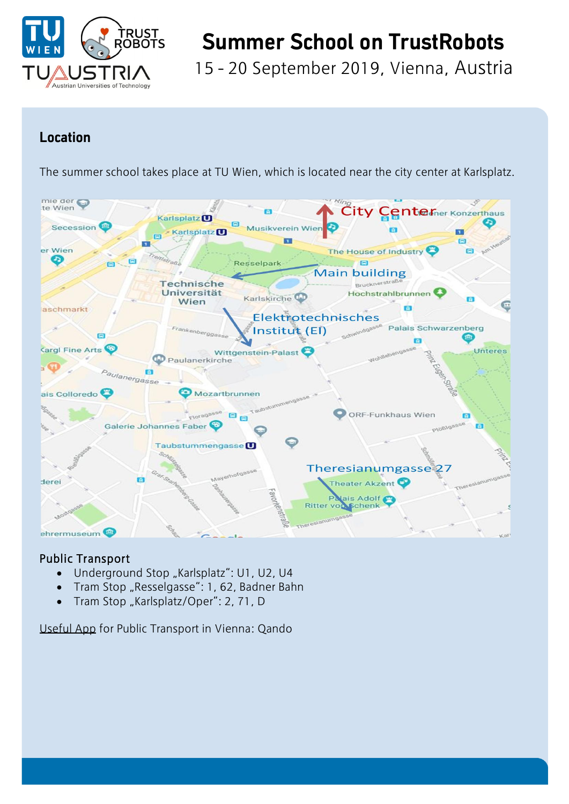

15 - 20 September 2019, Vienna, Austria

## **Location**

The summer school takes place at TU Wien, which is located near the city center at Karlsplatz.



### Public Transport

- Underground Stop "Karlsplatz": U1, U2, U4
- Tram Stop "Resselgasse": 1, 62, Badner Bahn
- Tram Stop "Karlsplatz/Oper": 2, 71, D

Useful App for Public Transport in Vienna: Qando